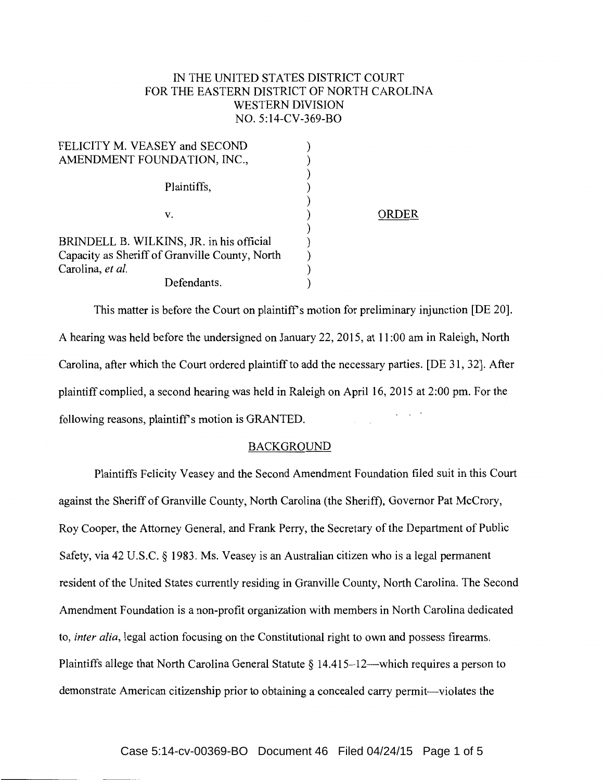## IN THE UNITED STATES DISTRICT COURT FOR THE EASTERN DISTRICT OF NORTH CAROLINA WESTERN DIVISION NO. 5:14-CV-369-BO

| FELICITY M. VEASEY and SECOND                  |       |
|------------------------------------------------|-------|
| AMENDMENT FOUNDATION, INC.,                    |       |
|                                                |       |
| Plaintiffs,                                    |       |
|                                                |       |
| v.                                             | ORDER |
|                                                |       |
| BRINDELL B. WILKINS, JR. in his official       |       |
| Capacity as Sheriff of Granville County, North |       |
| Carolina, et al.                               |       |
| Defendants.                                    |       |

This matter is before the Court on plaintiff's motion for preliminary injunction [DE 20]. A hearing was held before the undersigned on January 22, 2015, at 11:00 am in Raleigh, North Carolina, after which the Court ordered plaintiff to add the necessary parties. [DE 31, 32]. After plaintiff complied, a second hearing was held in Raleigh on April 16, 2015 at 2:00 pm. For the following reasons, plaintiff's motion is GRANTED.

## BACKGROUND

Plaintiffs Felicity Veasey and the Second Amendment Foundation filed suit in this Court against the Sheriff of Granville County, North Carolina (the Sheriff), Governor Pat McCrory, Roy Cooper, the Attorney General, and Frank Perry, the Secretary of the Department of Public Safety, via 42 U.S.C. § 1983. Ms. Veasey is an Australian citizen who is a legal permanent resident of the United States currently residing in Granville County, North Carolina. The Second Amendment Foundation is a non-profit organization with members in North Carolina dedicated to, *inter alia,* legal action focusing on the Constitutional right to own and possess firearms. Plaintiffs allege that North Carolina General Statute  $\S 14.415-12$ —which requires a person to demonstrate American citizenship prior to obtaining a concealed carry permit-violates the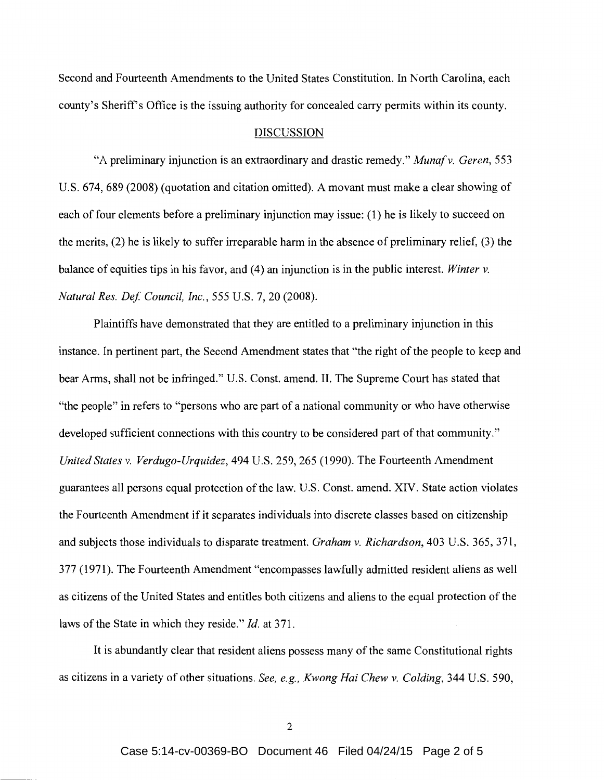Second and Fourteenth Amendments to the United States Constitution. In North Carolina, each county's Sheriff's Office is the issuing authority for concealed carry permits within its county.

## DISCUSSION

"A preliminary injunction is an extraordinary and drastic remedy." *Munafv. Geren,* 553 U.S. 674, 689 (2008) (quotation and citation omitted). A movant must make a clear showing of each of four elements before a preliminary injunction may issue: (1) he is likely to succeed on the merits, (2) he is likely to suffer irreparable harm in the absence of preliminary relief, (3) the balance of equities tips in his favor, and (4) an injunction is in the public interest. *Winter v. Natural Res. Def Council, Inc.,* 555 U.S. 7, 20 (2008).

Plaintiffs have demonstrated that they are entitled to a preliminary injunction in this instance. In pertinent part, the Second Amendment states that "the right of the people to keep and bear Arms, shall not be infringed." U.S. Const. amend. II. The Supreme Court has stated that "the people" in refers to "persons who are part of a national community or who have otherwise developed sufficient connections with this country to be considered part of that community." *United States v. Verdugo-Urquidez,* 494 U.S. 259, 265 (1990). The Fourteenth Amendment guarantees all persons equal protection of the law. U.S. Const. amend. XIV. State action violates the Fourteenth Amendment if it separates individuals into discrete classes based on citizenship and subjects those individuals to disparate treatment. *Graham v. Richardson,* 403 U.S. 365, 371, 377 (1971). The Fourteenth Amendment "encompasses lawfully admitted resident aliens as well as citizens of the United States and entitles both citizens and aliens to the equal protection of the laws of the State in which they reside." *Id.* at 371.

It is abundantly clear that resident aliens possess many of the same Constitutional rights as citizens in a variety of other situations. *See, e.g., Kwong Hai Chew v. Co/ding,* 344 U.S. 590,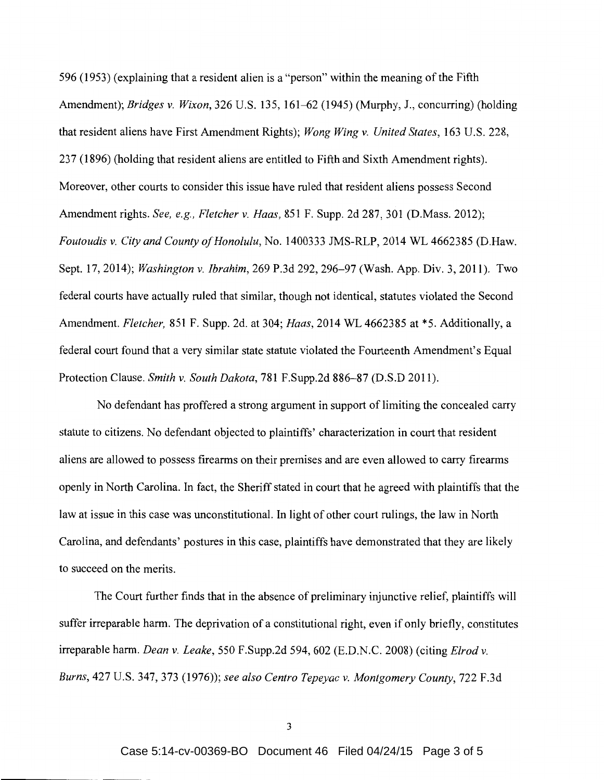596 (1953) (explaining that a resident alien is a "person" within the meaning of the Fifth Amendment); *Bridges v. Wixon,* 326 U.S. 135, 161-62 (1945) (Murphy, J., concurring) (holding that resident aliens have First Amendment Rights); *Wong Wing v. United States,* 163 U.S. 228, 23 7 ( 1896) (holding that resident aliens are entitled to Fifth and Sixth Amendment rights). Moreover, other courts to consider this issue have ruled that resident aliens possess Second Amendment rights. *See, e.g., Fletcher v. Haas,* 851 F. Supp. 2d 287, 301 (D.Mass. 2012); *Foutoudis v. City and County of Honolulu,* No. 1400333 JMS-RLP, 2014 WL 4662385 (D.Haw. Sept. 17, 2014); *Washington v. Ibrahim,* 269 P.3d 292, 296-97 (Wash. App. Div. 3, 2011). Two federal courts have actually ruled that similar, though not identical, statutes violated the Second Amendment. *Fletcher,* 851 F. Supp. 2d. at 304; *Haas,* 2014 WL 4662385 at \*5. Additionally, a federal court found that a very similar state statute violated the Fourteenth Amendment's Equal Protection Clause. *Smith v. South Dakota,* 781 F.Supp.2d 886-87 (D.S.D 2011).

No defendant has proffered a strong argument in support of limiting the concealed carry statute to citizens. No defendant objected to plaintiffs' characterization in court that resident aliens are allowed to possess firearms on their premises and are even allowed to carry firearms openly in North Carolina. In fact, the Sheriff stated in court that he agreed with plaintiffs that the law at issue in this case was unconstitutional. In light of other court rulings, the law in North Carolina, and defendants' postures in this case, plaintiffs have demonstrated that they are likely to succeed on the merits.

The Court further finds that in the absence of preliminary injunctive relief, plaintiffs will suffer irreparable harm. The deprivation of a constitutional right, even if only briefly, constitutes irreparable harm. *Dean v. Leake,* 550 F.Supp.2d 594, 602 (E.D.N.C. 2008) (citing *Elrod v. Burns,* 427 U.S. 347, 373 (1976)); *see also Centro Tepeyac v. Montgomery County,* 722 F.3d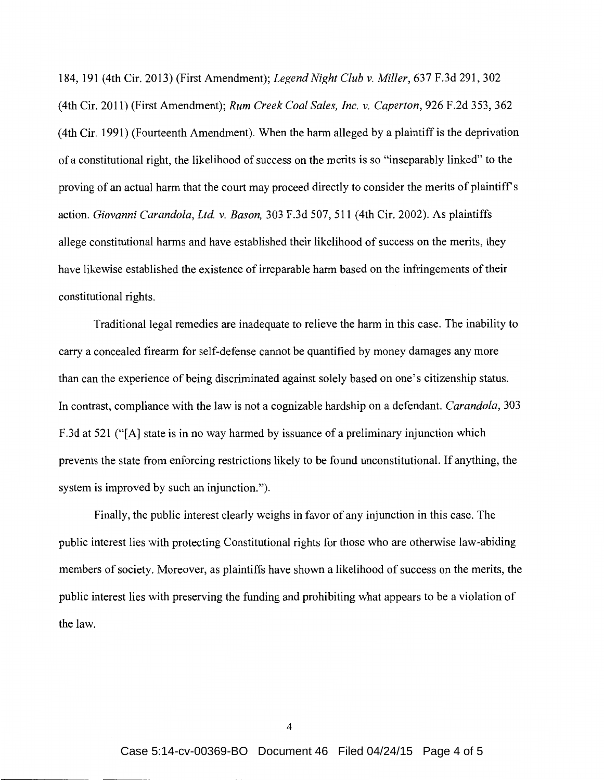184, 191 (4th Cir. 2013) (First Amendment); *Legend Night Club v. Miller,* 637 F.3d 291, 302 (4th Cir. 2011) (First Amendment); *Rum Creek Coal Sales, Inc. v. Caperton,* 926 F.2d 353, 362 (4th Cir. 1991) (Fourteenth Amendment). When the harm alleged by a plaintiff is the deprivation of a constitutional right, the likelihood of success on the merits is so "inseparably linked" to the proving of an actual harm that the court may proceed directly to consider the merits of plaintiffs action. *Giovanni Carandola, Ltd. v. Bason,* 303 F .3d 507, 511 (4th Cir. 2002). As plaintiffs allege constitutional harms and have established their likelihood of success on the merits, they have likewise established the existence of irreparable harm based on the infringements of their constitutional rights.

Traditional legal remedies are inadequate to relieve the harm in this case. The inability to carry a concealed firearm for self-defense cannot be quantified by money damages any more than can the experience of being discriminated against solely based on one's citizenship status. In contrast, compliance with the law is not a cognizable hardship on a defendant. *Carandola,* 303 F.3d at 521 ("[A] state is in no way harmed by issuance of a preliminary injunction which prevents the state from enforcing restrictions likely to be found unconstitutional. If anything, the system is improved by such an injunction.").

Finally, the public interest clearly weighs in favor of any injunction in this case. The public interest lies with protecting Constitutional rights for those who are otherwise law-abiding members of society. Moreover, as plaintiffs have shown a likelihood of success on the merits, the public interest lies with preserving the funding and prohibiting what appears to be a violation of the law.